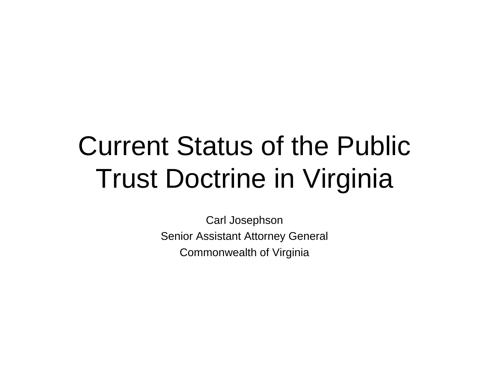# Current Status of the Public Trust Doctrine in Virginia

Carl Josephson Senior Assistant Attorney General Commonwealth of Virginia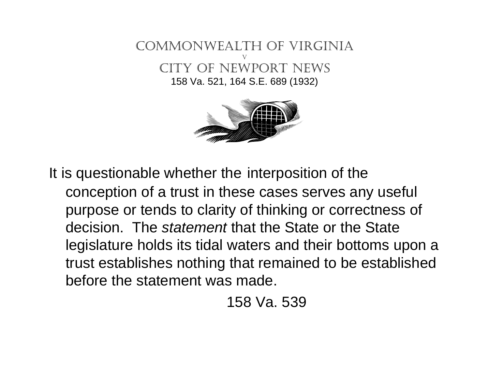



It is questionable whether the interposition of the conception of a trust in these cases serves any useful purpose or tends to clarity of thinking or correctness of decision. The *statement* that the State or the State legislature holds its tidal waters and their bottoms upon a trust establishes nothing that remained to be established before the statement was made.

158 Va. 539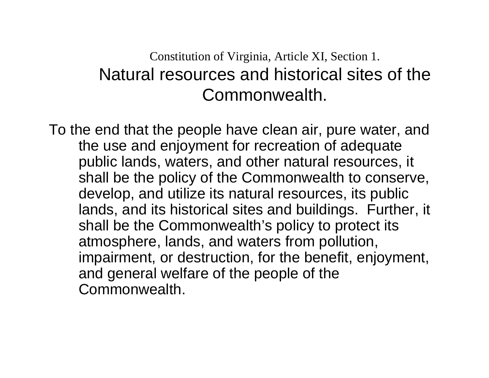#### Constitution of Virginia, Article XI, Section 1. Natural resources and historical sites of the Commonwealth.

To the end that the people have clean air, pure water, and the use and enjoyment for recreation of adequate public lands, waters, and other natural resources, it shall be the policy of the Commonwealth to conserve, develop, and utilize its natural resources, its public lands, and its historical sites and buildings. Further, it shall be the Commonwealth's policy to protect its atmosphere, lands, and waters from pollution, impairment, or destruction, for the benefit, enjoyment, and general welfare of the people of the Commonwealth.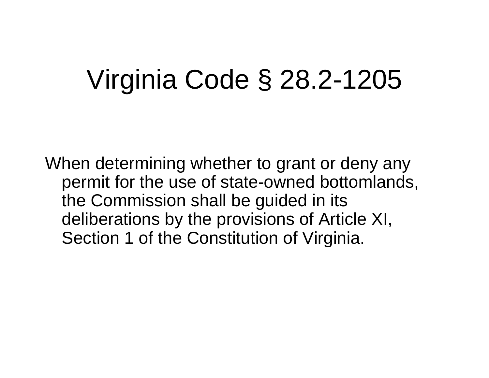# Virginia Code § 28.2-1205

When determining whether to grant or deny any permit for the use of state-owned bottomlands, the Commission shall be guided in its deliberations by the provisions of Article XI, Section 1 of the Constitution of Virginia.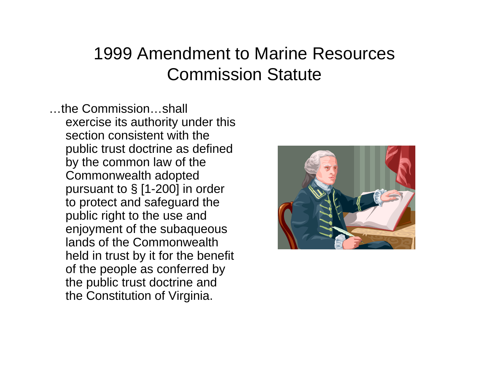#### 1999 Amendment to Marine Resources Commission Statute

…the Commission…shall exercise its authority under this section consistent with the public trust doctrine as defined by the common law of the Commonwealth adopted pursuant to § [1-200] in order to protect and safeguard the public right to the use and enjoyment of the subaqueous lands of the Commonwealth held in trust by it for the benefit of the people as conferred by the public trust doctrine and the Constitution of Virginia.

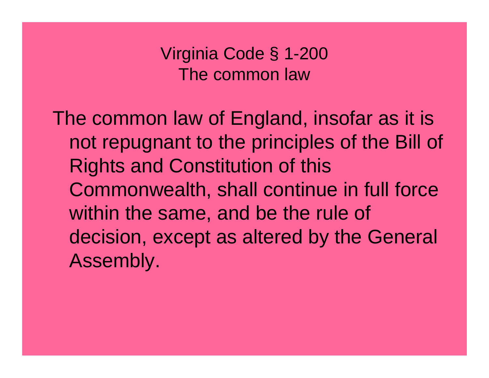Virginia Code § 1-200 The common law

The common law of England, insofar as it is not repugnant to the principles of the Bill of Rights and Constitution of this Commonwealth, shall continue in full force within the same, and be the rule of decision, except as altered by the General Assembly.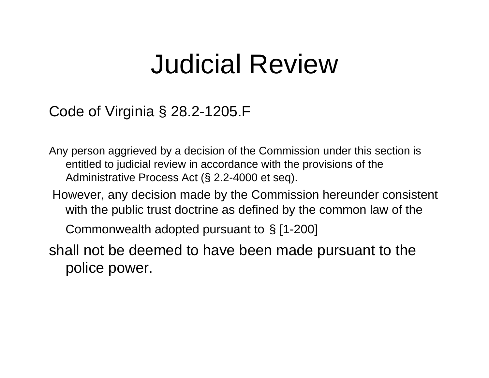### Judicial Review

#### Code of Virginia § 28.2-1205.F

Any person aggrieved by a decision of the Commission under this section is entitled to judicial review in accordance with the provisions of the Administrative Process Act (§ 2.2-4000 et seq).

However, any decision made by the Commission hereunder consistent with the public trust doctrine as defined by the common law of the

Commonwealth adopted pursuant to § [1-200]

shall not be deemed to have been made pursuant to the police power.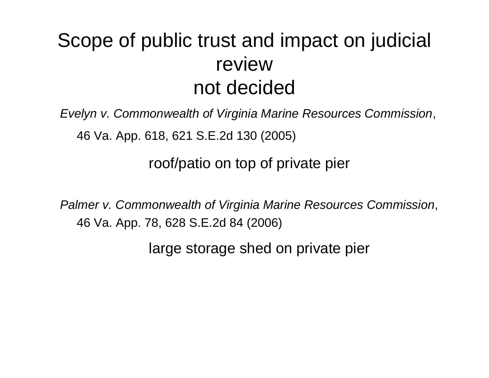#### Scope of public trust and impact on judicial review not decided

*Evelyn v. Commonwealth of Virginia Marine Resources Commission*,

46 Va. App. 618, 621 S.E.2d 130 (2005)

roof/patio on top of private pier

*Palmer v. Commonwealth of Virginia Marine Resources Commission*, 46 Va. App. 78, 628 S.E.2d 84 (2006)

large storage shed on private pier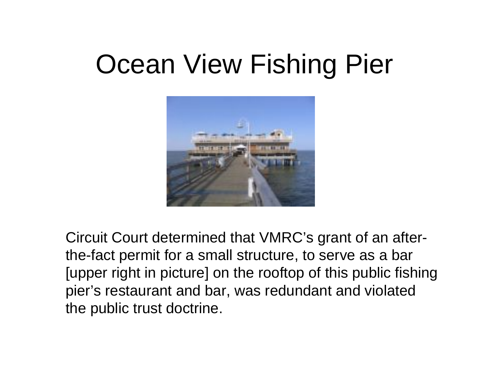### Ocean View Fishing Pier



Circuit Court determined that VMRC's grant of an afterthe-fact permit for a small structure, to serve as a bar [upper right in picture] on the rooftop of this public fishing pier's restaurant and bar, was redundant and violated the public trust doctrine.